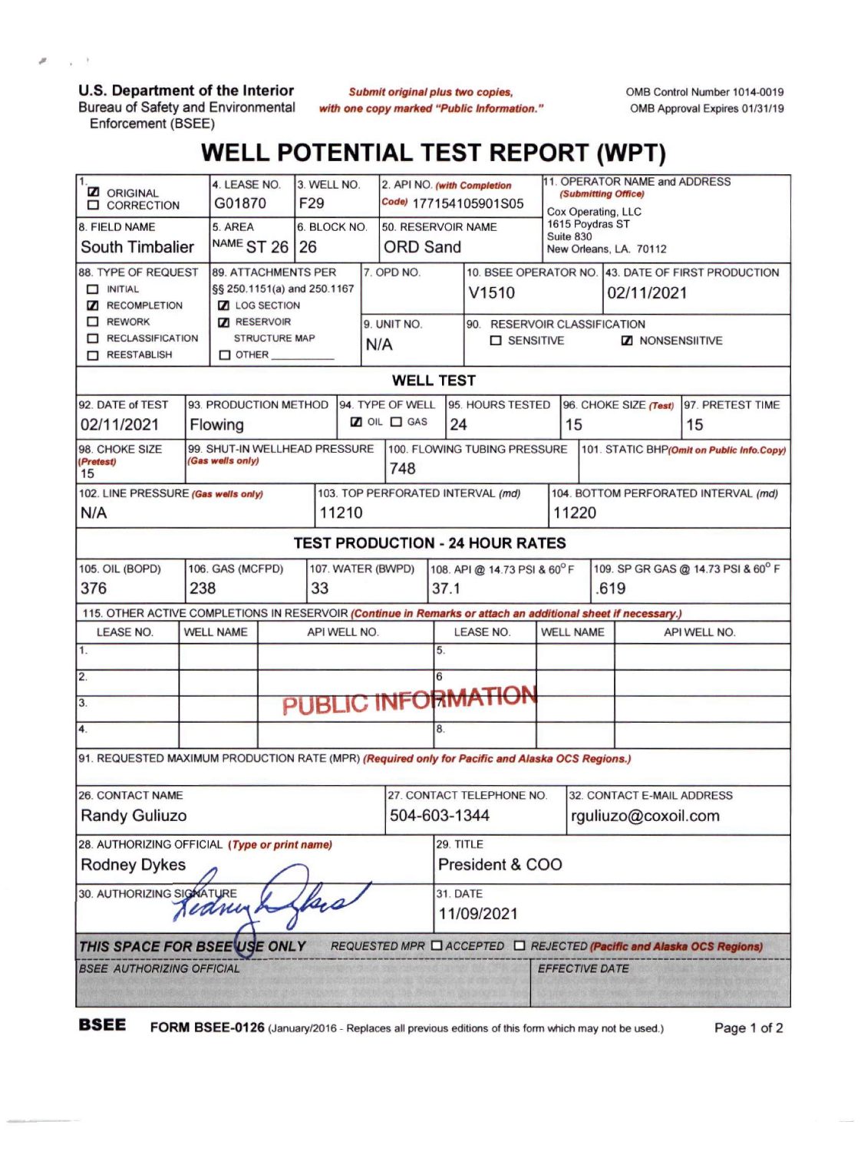**U.S. Department of the Interior** Bureau of Safety and Environmental Enforcement (BSEE)

ø

 $\chi$  $\mathcal{R}$ 

> **Submit original plus two copies,** *with one copy marked "Public Information."*

OMB Control Number 1014-0019 OMB Approval Expires 01/31/19

## **WELL POTENTIAL TEST REPORT (WPT)**

| $\overline{1}$<br><b>Z</b> ORIGINAL<br><b>O CORRECTION</b>                                                   | 4. LEASE NO.<br>3. WELL NO.<br>G01870<br>F <sub>29</sub>                                                                              |                    |     |                                           | 2. API NO. (with Completion<br>Code) 177154105901S05 | 11. OPERATOR NAME and ADDRESS<br>(Submitting Office)<br>Cox Operating, LLC |                              |                                                   |              |                                                                      |  |
|--------------------------------------------------------------------------------------------------------------|---------------------------------------------------------------------------------------------------------------------------------------|--------------------|-----|-------------------------------------------|------------------------------------------------------|----------------------------------------------------------------------------|------------------------------|---------------------------------------------------|--------------|----------------------------------------------------------------------|--|
| 8. FIELD NAME                                                                                                | 5. AREA                                                                                                                               | 6. BLOCK NO.       |     |                                           | 50. RESERVOIR NAME                                   |                                                                            | 1615 Poydras ST<br>Suite 830 |                                                   |              |                                                                      |  |
| South Timbalier                                                                                              | NAME ST 26 26                                                                                                                         |                    |     | <b>ORD Sand</b>                           |                                                      |                                                                            |                              | New Orleans, LA. 70112                            |              |                                                                      |  |
| 88. TYPE OF REQUEST<br>$\Box$ INITIAL                                                                        | 89. ATTACHMENTS PER                                                                                                                   |                    |     | 7. OPD NO.                                |                                                      |                                                                            |                              |                                                   |              | 10. BSEE OPERATOR NO. 43. DATE OF FIRST PRODUCTION                   |  |
| §§ 250.1151(a) and 250.1167<br><b>Z RECOMPLETION</b><br><b>Z</b> LOG SECTION                                 |                                                                                                                                       |                    |     |                                           |                                                      | V1510                                                                      |                              |                                                   | 02/11/2021   |                                                                      |  |
| $\Box$ REWORK                                                                                                | <b>Z</b> RESERVOIR                                                                                                                    |                    |     | 9. UNIT NO.                               |                                                      | 90. RESERVOIR CLASSIFICATION                                               |                              |                                                   |              |                                                                      |  |
| RECLASSIFICATION<br>REESTABLISH                                                                              | <b>STRUCTURE MAP</b><br>$\square$ other $\square$                                                                                     |                    | N/A |                                           |                                                      | □ SENSITIVE                                                                |                              | <b>Z</b> NONSENSIITIVE                            |              |                                                                      |  |
|                                                                                                              | <b>WELL TEST</b>                                                                                                                      |                    |     |                                           |                                                      |                                                                            |                              |                                                   |              |                                                                      |  |
| 94. TYPE OF WELL                                                                                             |                                                                                                                                       |                    |     |                                           |                                                      |                                                                            |                              |                                                   |              |                                                                      |  |
| 92. DATE of TEST                                                                                             | 93. PRODUCTION METHOD<br>$\Box$ OIL $\Box$ GAS                                                                                        |                    |     | 95. HOURS TESTED                          |                                                      |                                                                            |                              | 96. CHOKE SIZE (Test)<br>97. PRETEST TIME         |              |                                                                      |  |
| 02/11/2021                                                                                                   | Flowing                                                                                                                               |                    |     |                                           | 24                                                   |                                                                            |                              | 15<br>15                                          |              |                                                                      |  |
| 98. CHOKE SIZE<br>(Pretest)<br>15                                                                            | 100. FLOWING TUBING PRESSURE<br>99. SHUT-IN WELLHEAD PRESSURE<br>101. STATIC BHP(Omit on Public Info.Copy)<br>(Gas wells only)<br>748 |                    |     |                                           |                                                      |                                                                            |                              |                                                   |              |                                                                      |  |
| 102. LINE PRESSURE (Gas wells only)                                                                          |                                                                                                                                       |                    |     |                                           | 103. TOP PERFORATED INTERVAL (md)                    |                                                                            |                              | 104. BOTTOM PERFORATED INTERVAL (md)              |              |                                                                      |  |
| N/A<br>11210                                                                                                 |                                                                                                                                       |                    |     |                                           |                                                      |                                                                            | 11220                        |                                                   |              |                                                                      |  |
| <b>TEST PRODUCTION - 24 HOUR RATES</b>                                                                       |                                                                                                                                       |                    |     |                                           |                                                      |                                                                            |                              |                                                   |              |                                                                      |  |
| 105. OIL (BOPD)                                                                                              | 106. GAS (MCFPD)                                                                                                                      | 107. WATER (BWPD)  |     |                                           | 108. API @ 14.73 PSI & 60°F                          |                                                                            |                              | 109. SP GR GAS @ 14.73 PSI & 60° F                |              |                                                                      |  |
| 376                                                                                                          | 238                                                                                                                                   | 33<br>37.1<br>.619 |     |                                           |                                                      |                                                                            |                              |                                                   |              |                                                                      |  |
| 115. OTHER ACTIVE COMPLETIONS IN RESERVOIR (Continue in Remarks or attach an additional sheet if necessary.) |                                                                                                                                       |                    |     |                                           |                                                      |                                                                            |                              |                                                   |              |                                                                      |  |
| <b>LEASE NO.</b>                                                                                             | <b>WELL NAME</b><br>API WELL NO.                                                                                                      |                    |     |                                           | <b>LEASE NO.</b>                                     |                                                                            | <b>WELL NAME</b>             |                                                   | API WELL NO. |                                                                      |  |
| 1.                                                                                                           |                                                                                                                                       |                    |     |                                           | 5.                                                   |                                                                            |                              |                                                   |              |                                                                      |  |
| 2.                                                                                                           |                                                                                                                                       |                    |     |                                           | 6                                                    |                                                                            |                              |                                                   |              |                                                                      |  |
| 3.                                                                                                           | PUBLIC INFORMATION                                                                                                                    |                    |     |                                           |                                                      |                                                                            |                              |                                                   |              |                                                                      |  |
| 4.                                                                                                           |                                                                                                                                       |                    |     |                                           | 8.                                                   |                                                                            |                              |                                                   |              |                                                                      |  |
| 91. REQUESTED MAXIMUM PRODUCTION RATE (MPR) (Required only for Pacific and Alaska OCS Regions.)              |                                                                                                                                       |                    |     |                                           |                                                      |                                                                            |                              |                                                   |              |                                                                      |  |
| <b>26. CONTACT NAME</b>                                                                                      |                                                                                                                                       |                    |     |                                           |                                                      |                                                                            |                              |                                                   |              |                                                                      |  |
| <b>Randy Guliuzo</b>                                                                                         |                                                                                                                                       |                    |     | 27. CONTACT TELEPHONE NO.<br>504-603-1344 |                                                      |                                                                            |                              | 32. CONTACT E-MAIL ADDRESS<br>rguliuzo@coxoil.com |              |                                                                      |  |
|                                                                                                              |                                                                                                                                       |                    |     |                                           |                                                      |                                                                            |                              |                                                   |              |                                                                      |  |
| 28. AUTHORIZING OFFICIAL (Type or print name)                                                                |                                                                                                                                       |                    |     | 29. TITLE                                 |                                                      |                                                                            |                              |                                                   |              |                                                                      |  |
| <b>Rodney Dykes</b>                                                                                          |                                                                                                                                       |                    |     |                                           | President & COO                                      |                                                                            |                              |                                                   |              |                                                                      |  |
| 30. AUTHORIZING SIGNATURE                                                                                    |                                                                                                                                       |                    |     |                                           | <b>31. DATE</b>                                      |                                                                            |                              |                                                   |              |                                                                      |  |
| Jedney                                                                                                       |                                                                                                                                       |                    |     |                                           | 11/09/2021                                           |                                                                            |                              |                                                   |              |                                                                      |  |
| THIS SPACE FOR BSEE USE ONLY                                                                                 |                                                                                                                                       |                    |     |                                           |                                                      |                                                                            |                              |                                                   |              | REQUESTED MPR □ ACCEPTED □ REJECTED (Pacific and Alaska OCS Regions) |  |
| <b>BSEE AUTHORIZING OFFICIAL</b>                                                                             |                                                                                                                                       |                    |     |                                           |                                                      |                                                                            |                              | EFFECTIVE DATE                                    |              |                                                                      |  |
|                                                                                                              |                                                                                                                                       |                    |     |                                           |                                                      |                                                                            |                              |                                                   |              |                                                                      |  |

**BSEE** FORM BSEE-0126 (January/2016 - Replaces all previous editions of this form which may not be used.) Page <sup>1</sup> of <sup>2</sup>